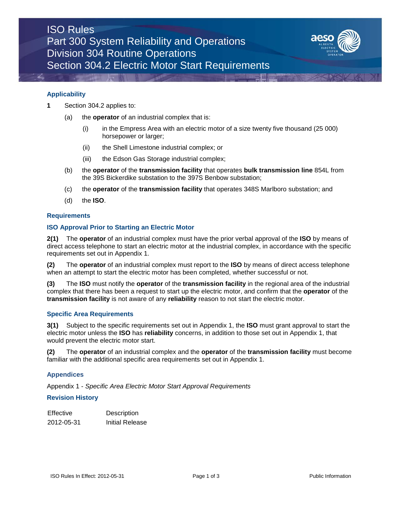

### **Applicability**

- **1** Section 304.2 applies to:
	- (a) the **operator** of an industrial complex that is:
		- (i) in the Empress Area with an electric motor of a size twenty five thousand (25 000) horsepower or larger;
		- (ii) the Shell Limestone industrial complex; or
		- (iii) the Edson Gas Storage industrial complex;
	- (b) the **operator** of the **transmission facility** that operates **bulk transmission line** 854L from the 39S Bickerdike substation to the 397S Benbow substation;
	- (c) the **operator** of the **transmission facility** that operates 348S Marlboro substation; and
	- (d) the **ISO**.

# **Requirements**

# **ISO Approval Prior to Starting an Electric Motor**

**2(1)** The **operator** of an industrial complex must have the prior verbal approval of the **ISO** by means of direct access telephone to start an electric motor at the industrial complex, in accordance with the specific requirements set out in Appendix 1.

**(2)** The **operator** of an industrial complex must report to the **ISO** by means of direct access telephone when an attempt to start the electric motor has been completed, whether successful or not.

**(3)** The **ISO** must notify the **operator** of the **transmission facility** in the regional area of the industrial complex that there has been a request to start up the electric motor, and confirm that the **operator** of the **transmission facility** is not aware of any **reliability** reason to not start the electric motor.

# **Specific Area Requirements**

**3(1)** Subject to the specific requirements set out in Appendix 1, the **ISO** must grant approval to start the electric motor unless the **ISO** has **reliability** concerns, in addition to those set out in Appendix 1, that would prevent the electric motor start.

**(2)** The **operator** of an industrial complex and the **operator** of the **transmission facility** must become familiar with the additional specific area requirements set out in Appendix 1.

# **Appendices**

Appendix 1 - *Specific Area Electric Motor Start Approval Requirements*

### **Revision History**

| <b>Effective</b> | Description     |
|------------------|-----------------|
| 2012-05-31       | Initial Release |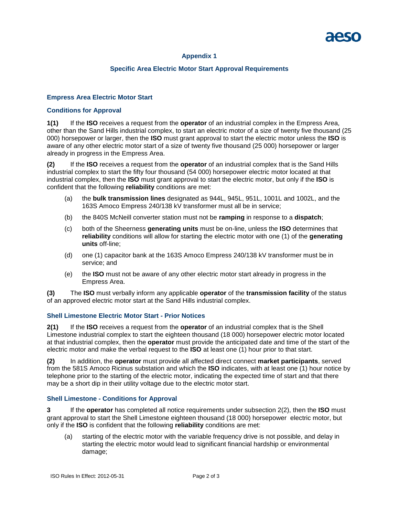# **Appendix 1**

# **Specific Area Electric Motor Start Approval Requirements**

# **Empress Area Electric Motor Start**

# **Conditions for Approval**

**1(1)** If the **ISO** receives a request from the **operator** of an industrial complex in the Empress Area, other than the Sand Hills industrial complex, to start an electric motor of a size of twenty five thousand (25 000) horsepower or larger, then the **ISO** must grant approval to start the electric motor unless the **ISO** is aware of any other electric motor start of a size of twenty five thousand (25 000) horsepower or larger already in progress in the Empress Area.

**(2)** If the **ISO** receives a request from the **operator** of an industrial complex that is the Sand Hills industrial complex to start the fifty four thousand (54 000) horsepower electric motor located at that industrial complex, then the **ISO** must grant approval to start the electric motor, but only if the **ISO** is confident that the following **reliability** conditions are met:

- (a) the **bulk transmission lines** designated as 944L, 945L, 951L, 1001L and 1002L, and the 163S Amoco Empress 240/138 kV transformer must all be in service;
- (b) the 840S McNeill converter station must not be **ramping** in response to a **dispatch**;
- (c) both of the Sheerness **generating units** must be on-line, unless the **ISO** determines that **reliability** conditions will allow for starting the electric motor with one (1) of the **generating units** off-line;
- (d) one (1) capacitor bank at the 163S Amoco Empress 240/138 kV transformer must be in service; and
- (e) the **ISO** must not be aware of any other electric motor start already in progress in the Empress Area.

**(3)** The **ISO** must verbally inform any applicable **operator** of the **transmission facility** of the status of an approved electric motor start at the Sand Hills industrial complex.

# **Shell Limestone Electric Motor Start** *-* **Prior Notices**

**2(1)** If the **ISO** receives a request from the **operator** of an industrial complex that is the Shell Limestone industrial complex to start the eighteen thousand (18 000) horsepower electric motor located at that industrial complex, then the **operator** must provide the anticipated date and time of the start of the electric motor and make the verbal request to the **ISO** at least one (1) hour prior to that start.

**(2)** In addition, the **operator** must provide all affected direct connect **market participants**, served from the 581S Amoco Ricinus substation and which the **ISO** indicates, with at least one (1) hour notice by telephone prior to the starting of the electric motor, indicating the expected time of start and that there may be a short dip in their utility voltage due to the electric motor start.

# **Shell Limestone - Conditions for Approval**

**3** If the **operator** has completed all notice requirements under subsection 2(2), then the **ISO** must grant approval to start the Shell Limestone eighteen thousand (18 000) horsepower electric motor, but only if the **ISO** is confident that the following **reliability** conditions are met:

(a) starting of the electric motor with the variable frequency drive is not possible, and delay in starting the electric motor would lead to significant financial hardship or environmental damage;